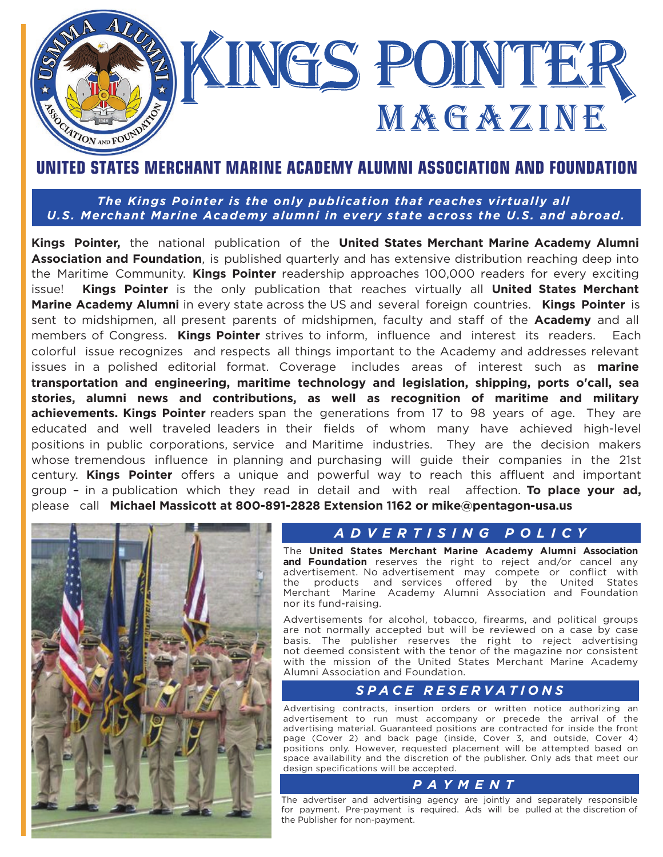

## **[UNITED STATES MERCHANT MARINE ACADEMY ALUMNI ASSOCIATION AND FOUNDATION](https://www.usmmaaf.com/s/1175/hybrid/start.aspx)**

*The Kings Pointer is the only publication that reaches virtually all [U.S. Merchant Marine Academy](https://www.usmma.edu/) alumni in every state across the U.S. and abroad.*

**Kings Pointer,** the national publication of the **United States Merchant Marine [Academy](https://www.usmmaaf.com/s/1175/hybrid/start.aspx) Alumni Association [and Foundation](https://www.usmmaaf.com/s/1175/hybrid/start.aspx)**, is published quarterly and has extensive distribution reaching deep into the Maritime Community. **Kings [Pointer](https://mydigitalpublication.com/publication/?i=533714#{%22issue_id%22:533714,%22page%22:0,%22view%22:%22issuelistBrowser%22})** readership approaches 100,000 readers for every exciting issue! **Kings Pointer** is the only publication that reaches virtually all **United States [Merchant](https://www.usmma.edu/)  Marine [Academy Al](https://www.usmma.edu/)umni** in every state across the US and several foreign countries. **Kings [Pointer](https://mydigitalpublication.com/publication/?i=533714#{%22issue_id%22:533714,%22page%22:0,%22view%22:%22issuelistBrowser%22})** is sent to midshipmen, all present parents of midshipmen, faculty and staff of the **Academy** and all members of Congress. **Kings [Pointer](https://mydigitalpublication.com/publication/?i=533714#{%22issue_id%22:533714,%22page%22:0,%22view%22:%22issuelistBrowser%22})** strives to inform, influence and interest its readers. Each colorful issue recognizes and respects all things important to the Academy and addresses relevant issues in a polished editorial format. Coverage includes areas of interest such as **marine transportation and engineering, maritime technology and legislation, shipping, ports o'call, sea stories, alumni news and contributions, as well as recognition of maritime and military achievements. Kings Pointer** readers span the generations from 17 to 98 years of age. They are educated and well traveled leaders in their fields of whom many have achieved high-level positions in public corporations, service and Maritime industries. They are the decision makers whose tremendous influence in planning and purchasing will guide their companies in the 21st century. **Kings [Pointer](https://mydigitalpublication.com/publication/?i=533714#{%22issue_id%22:533714,%22page%22:0,%22view%22:%22issuelistBrowser%22})** offers a unique and powerful way to reach this affluent and important group – in a publication which they read in detail and with real affection. **To place your ad,** please call **Michael Massicott at 800-891-2828 Extension 1162 or [mike@pentagon-usa.us](mailto:mike@pentagon-usa.us)**



#### *ADVERTISING POLICY*

The **United States Merchant Marine Academy Alumni Association and Foundation** reserves the right to reject and/or cancel any advertisement. No advertisement may compete or conflict with the products and services offered by the United States Merchant Marine Academy Alumni Association and Foundation nor its fund-raising.

Advertisements for alcohol, tobacco, firearms, and political groups are not normally accepted but will be reviewed on a case by case basis. The publisher reserves the right to reject advertising not deemed consistent with the tenor of the magazine nor consistent with the mission of the United States Merchant Marine Academy Alumni Association and Foundation.

#### *SPACE RESERVATIONS*

Advertising contracts, insertion orders or written notice authorizing an advertisement to run must accompany or precede the arrival of the advertising material. Guaranteed positions are contracted for inside the front page (Cover 2) and back page (inside, Cover 3, and outside, Cover 4) positions only. However, requested placement will be attempted based on space availability and the discretion of the publisher. Only ads that meet our design specifications will be accepted.

### *PAYMENT*

The advertiser and advertising agency are jointly and separately responsible for payment. Pre-payment is required. Ads will be pulled at the discretion of the Publisher for non-payment.